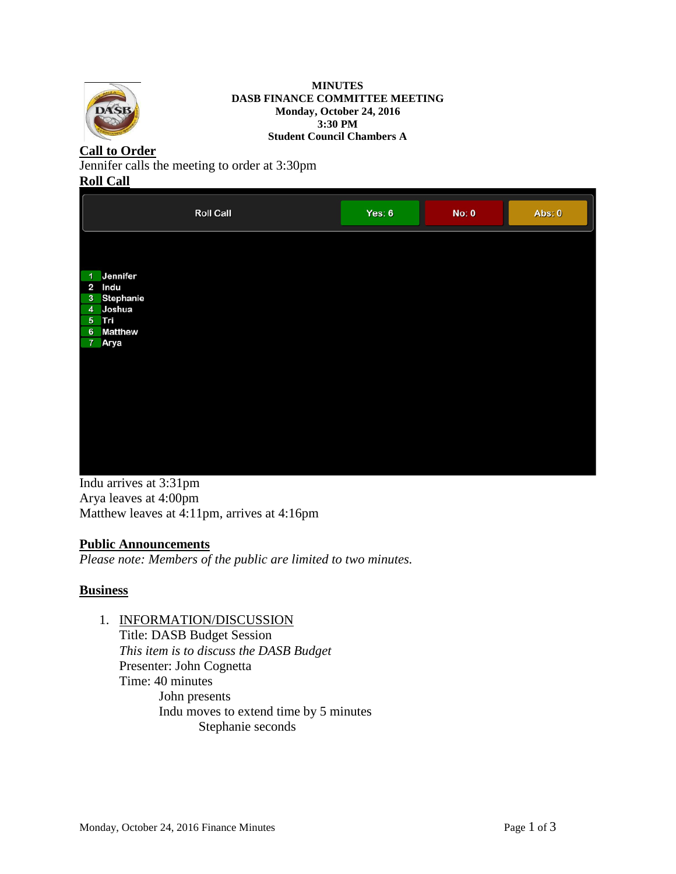

#### **MINUTES DASB FINANCE COMMITTEE MEETING Monday, October 24, 2016 3:30 PM Student Council Chambers A**

# **Call to Order**

Jennifer calls the meeting to order at 3:30pm

# **Roll Call**

| <b>Roll Call</b>                                                                            | Yes: $6$ | No: 0 | Abs: 0 |
|---------------------------------------------------------------------------------------------|----------|-------|--------|
| Jennifer<br>$\blacktriangleleft$<br>2 Indu<br>3 Stephanie<br>4 Joshua<br>5 Tri<br>6 Matthew |          |       |        |
| 7 Arya                                                                                      |          |       |        |
|                                                                                             |          |       |        |

Indu arrives at 3:31pm Arya leaves at 4:00pm Matthew leaves at 4:11pm, arrives at 4:16pm

# **Public Announcements**

*Please note: Members of the public are limited to two minutes.* 

# **Business**

1. INFORMATION/DISCUSSION

Title: DASB Budget Session *This item is to discuss the DASB Budget* Presenter: John Cognetta Time: 40 minutes John presents Indu moves to extend time by 5 minutes Stephanie seconds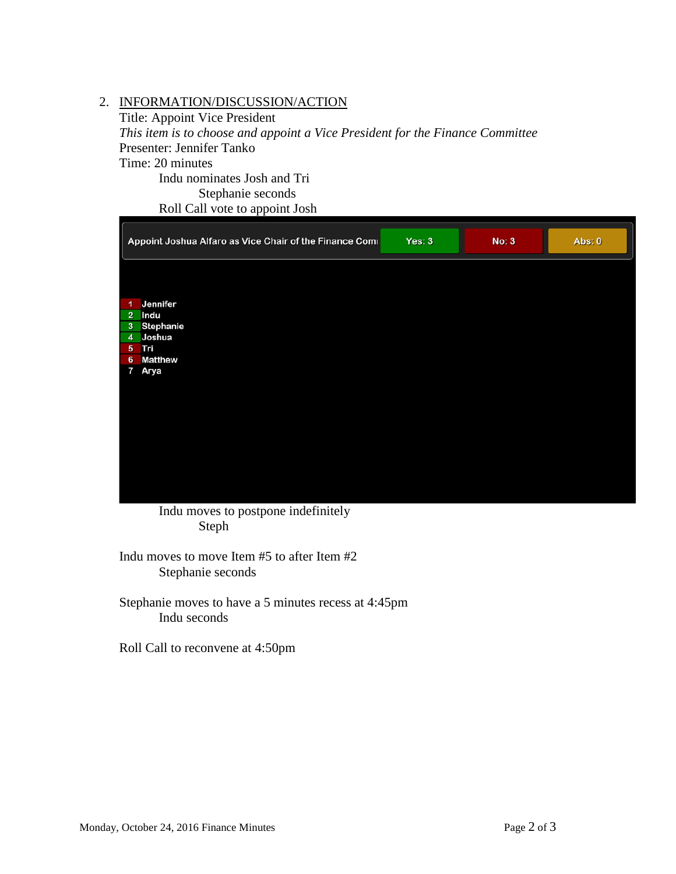# 2. INFORMATION/DISCUSSION/ACTION

Title: Appoint Vice President *This item is to choose and appoint a Vice President for the Finance Committee*  Presenter: Jennifer Tanko Time: 20 minutes Indu nominates Josh and Tri Stephanie seconds

Roll Call vote to appoint Josh

| Appoint Joshua Alfaro as Vice Chair of the Finance Comi | Yes: 3 | <b>No: 3</b> | Abs: 0 |
|---------------------------------------------------------|--------|--------------|--------|
|                                                         |        |              |        |
| Jennifer<br>$\blacktriangleleft$                        |        |              |        |
| 2 Indu                                                  |        |              |        |
| Stephanie<br>3 <sup>°</sup><br>Joshua<br>4 <sup>1</sup> |        |              |        |
| 5 Tri                                                   |        |              |        |
| <b>Matthew</b><br>$6\phantom{1}$                        |        |              |        |
| Arya<br>7                                               |        |              |        |
|                                                         |        |              |        |
|                                                         |        |              |        |
|                                                         |        |              |        |
|                                                         |        |              |        |
|                                                         |        |              |        |
|                                                         |        |              |        |
|                                                         |        |              |        |
|                                                         |        |              |        |
|                                                         |        |              |        |
|                                                         |        |              |        |

Indu moves to postpone indefinitely Steph

Indu moves to move Item #5 to after Item #2 Stephanie seconds

Stephanie moves to have a 5 minutes recess at 4:45pm Indu seconds

Roll Call to reconvene at 4:50pm